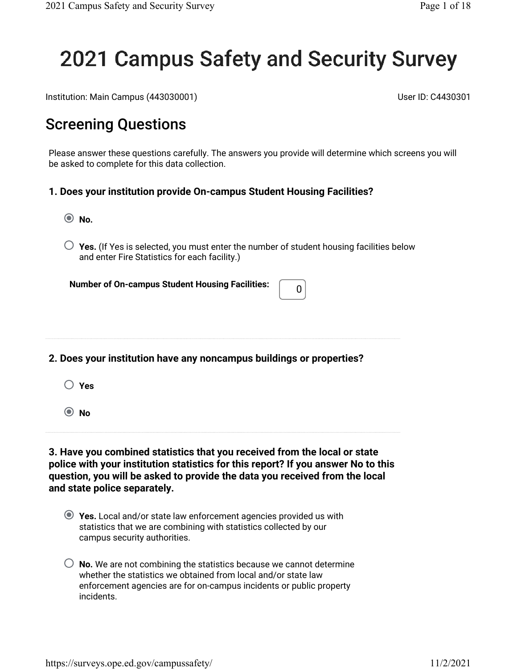## 2021 Campus Safety and Security Survey

Institution: Main Campus (443030001) User ID: C4430301

## Screening Questions

Please answer these questions carefully. The answers you provide will determine which screens you will be asked to complete for this data collection.

#### **1. Does your institution provide On-campus Student Housing Facilities?**

- **No.**
- $\bigcirc$  Yes. (If Yes is selected, you must enter the number of student housing facilities below and enter Fire Statistics for each facility.)

**Number of On-campus Student Housing Facilities:**  $\begin{bmatrix} 0 \\ 0 \end{bmatrix}$ 

#### **2. Does your institution have any noncampus buildings or properties?**

- **Yes**
- **No**

**3. Have you combined statistics that you received from the local or state police with your institution statistics for this report? If you answer No to this question, you will be asked to provide the data you received from the local and state police separately.**

- **Yes.** Local and/or state law enforcement agencies provided us with statistics that we are combining with statistics collected by our campus security authorities.
- **No.** We are not combining the statistics because we cannot determine whether the statistics we obtained from local and/or state law enforcement agencies are for on-campus incidents or public property incidents.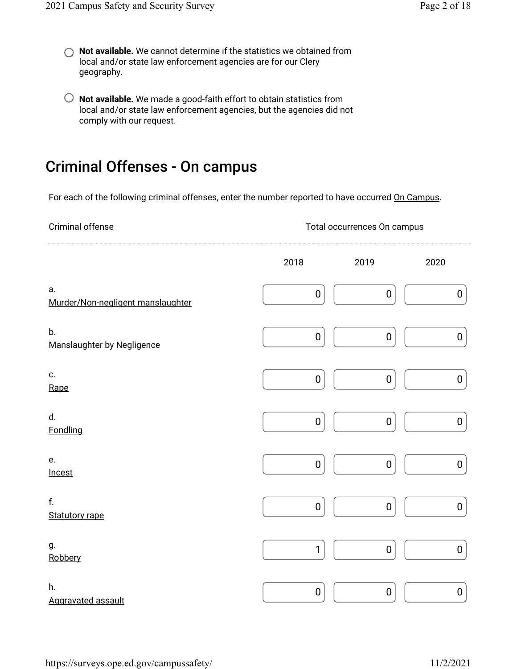- **Not available.** We cannot determine if the statistics we obtained from local and/or state law enforcement agencies are for our Clery geography.
- **Not available.** We made a good-faith effort to obtain statistics from local and/or state law enforcement agencies, but the agencies did not comply with our request.

## Criminal Offenses - On campus

For each of the following criminal offenses, enter the number reported to have occurred On Campus.

| Criminal offense                        | Total occurrences On campus |           |                  |  |  |  |  |  |
|-----------------------------------------|-----------------------------|-----------|------------------|--|--|--|--|--|
|                                         | 2018                        | 2019      | 2020             |  |  |  |  |  |
| а.<br>Murder/Non-negligent manslaughter | $\pmb{0}$                   | $\pmb{0}$ | $\boldsymbol{0}$ |  |  |  |  |  |
| b.<br>Manslaughter by Negligence        | $\pmb{0}$                   | $\pmb{0}$ | $\pmb{0}$        |  |  |  |  |  |
| c.<br>Rape                              | $\pmb{0}$                   | $\pmb{0}$ | $\pmb{0}$        |  |  |  |  |  |
| d.<br>Fondling                          | $\pmb{0}$                   | $\pmb{0}$ | $\pmb{0}$        |  |  |  |  |  |
| e.<br>Incest                            | $\pmb{0}$                   | $\pmb{0}$ | 0                |  |  |  |  |  |
| f.<br><b>Statutory rape</b>             | $\pmb{0}$                   | $\pmb{0}$ | 0                |  |  |  |  |  |
| g.<br>Robbery                           | $\mathbf{1}$                | $\pmb{0}$ | 0                |  |  |  |  |  |
| h.<br>Aggravated assault                | $\pmb{0}$                   | $\pmb{0}$ | $\boldsymbol{0}$ |  |  |  |  |  |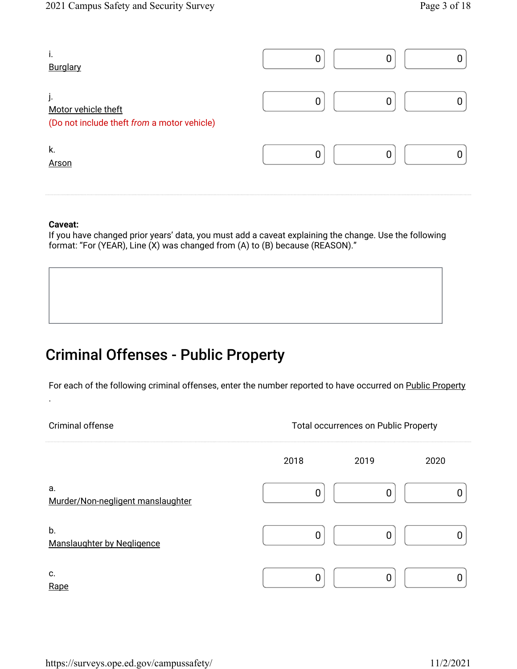| ı.<br>Burglary                                                           |  |  |
|--------------------------------------------------------------------------|--|--|
| j.<br>Motor vehicle theft<br>(Do not include theft from a motor vehicle) |  |  |
| k.<br>Arson                                                              |  |  |

If you have changed prior years' data, you must add a caveat explaining the change. Use the following format: "For (YEAR), Line (X) was changed from (A) to (B) because (REASON)."

## Criminal Offenses - Public Property

For each of the following criminal offenses, enter the number reported to have occurred on <u>Public Property</u>

.

Criminal offense Total occurrences on Public Property

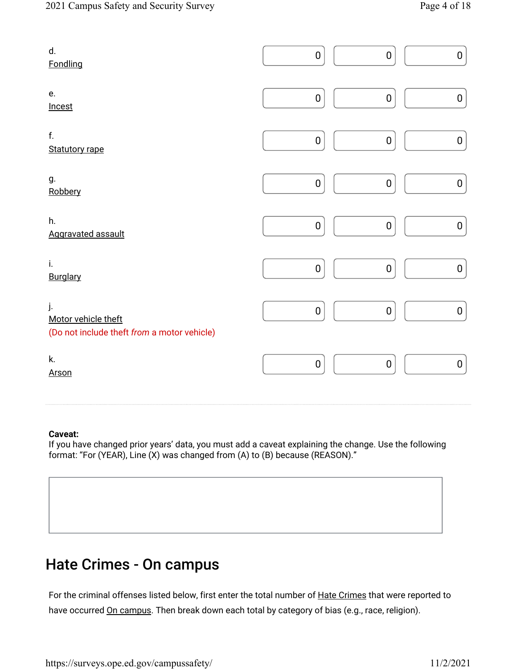| d.<br>Fondling                                                           | $\pmb{0}$ | $\pmb{0}$<br>0   |
|--------------------------------------------------------------------------|-----------|------------------|
| e.<br>Incest                                                             | $\pmb{0}$ | $\pmb{0}$<br>0   |
| f.<br><b>Statutory rape</b>                                              | $\pmb{0}$ | 0<br>$\mathbf 0$ |
| g.<br>Robbery                                                            | $\pmb{0}$ | $\pmb{0}$<br>0   |
| h.<br>Aggravated assault                                                 | $\pmb{0}$ | $\pmb{0}$<br>0   |
| i.<br>Burglary                                                           | $\pmb{0}$ | $\pmb{0}$<br>0   |
| j.<br>Motor vehicle theft<br>(Do not include theft from a motor vehicle) | $\pmb{0}$ | $\pmb{0}$<br>0   |
| k.<br><b>Arson</b>                                                       | $\pmb{0}$ | 0<br>$\pmb{0}$   |

If you have changed prior years' data, you must add a caveat explaining the change. Use the following format: "For (YEAR), Line (X) was changed from (A) to (B) because (REASON)."

## Hate Crimes - On campus

For the criminal offenses listed below, first enter the total number of <u>Hate Crimes</u> that were reported to have occurred <u>On campus</u>. Then break down each total by category of bias (e.g., race, religion).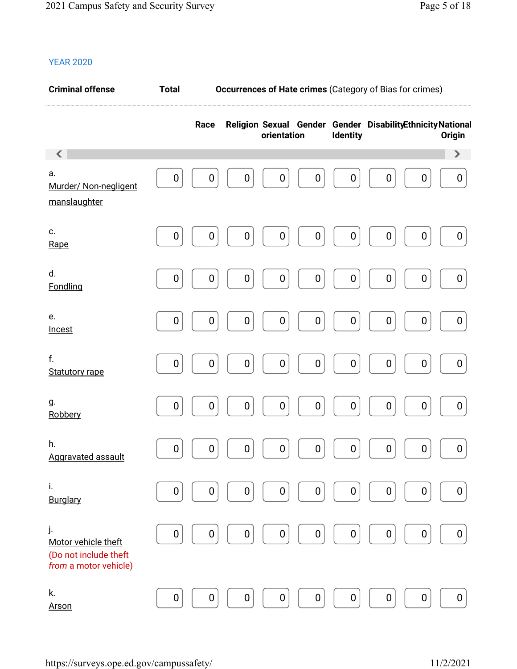| <b>Criminal offense</b>                                                     | <b>Total</b>     |                  | <b>Occurrences of Hate crimes (Category of Bias for crimes)</b> |                  |                  |                  |                                                            |                  |                       |  |
|-----------------------------------------------------------------------------|------------------|------------------|-----------------------------------------------------------------|------------------|------------------|------------------|------------------------------------------------------------|------------------|-----------------------|--|
|                                                                             |                  | Race             |                                                                 | orientation      |                  | Identity         | Religion Sexual Gender Gender DisabilityEthnicity National |                  | Origin                |  |
| K                                                                           |                  |                  |                                                                 |                  |                  |                  |                                                            |                  | $\blacktriangleright$ |  |
| а.<br>Murder/ Non-negligent<br>manslaughter                                 | 0                | $\boldsymbol{0}$ | 0                                                               | 0                | $\boldsymbol{0}$ | $\boldsymbol{0}$ | $\boldsymbol{0}$                                           | $\boldsymbol{0}$ | $\boldsymbol{0}$      |  |
| c.<br>Rape                                                                  | $\boldsymbol{0}$ | $\boldsymbol{0}$ | 0                                                               | $\boldsymbol{0}$ | $\pmb{0}$        | $\pmb{0}$        | $\pmb{0}$                                                  | $\boldsymbol{0}$ | 0                     |  |
| d.<br>Fondling                                                              | 0                | $\boldsymbol{0}$ | $\pmb{0}$                                                       | $\boldsymbol{0}$ | $\pmb{0}$        | $\pmb{0}$        | $\pmb{0}$                                                  | $\boldsymbol{0}$ | 0                     |  |
| e.<br>Incest                                                                | $\boldsymbol{0}$ | $\boldsymbol{0}$ | $\pmb{0}$                                                       | $\boldsymbol{0}$ | $\pmb{0}$        | $\pmb{0}$        | 0                                                          | $\boldsymbol{0}$ | 0                     |  |
| f.<br><b>Statutory rape</b>                                                 | $\mathbf 0$      | $\boldsymbol{0}$ | $\pmb{0}$                                                       | $\pmb{0}$        | $\pmb{0}$        | $\pmb{0}$        | $\pmb{0}$                                                  | $\boldsymbol{0}$ | $\mathbf 0$           |  |
| g.<br>Robbery                                                               | 0                | $\mathbf 0$      | $\pmb{0}$                                                       | $\pmb{0}$        | $\pmb{0}$        | $\pmb{0}$        | $\pmb{0}$                                                  | $\pmb{0}$        | 0                     |  |
| h.<br>Aggravated assault                                                    | $\boldsymbol{0}$ | $\boldsymbol{0}$ | $\boldsymbol{0}$                                                | $\boldsymbol{0}$ | $\boldsymbol{0}$ | $\pmb{0}$        | $\pmb{0}$                                                  | $\boldsymbol{0}$ | 0                     |  |
| i.<br>Burglary                                                              | 0                | 0                | 0                                                               | 0                | $\boldsymbol{0}$ | 0                | $\boldsymbol{0}$                                           | $\boldsymbol{0}$ | 0                     |  |
| j.<br>Motor vehicle theft<br>(Do not include theft<br>from a motor vehicle) | 0                | $\boldsymbol{0}$ | 0                                                               | $\boldsymbol{0}$ | $\boldsymbol{0}$ | $\boldsymbol{0}$ | $\boldsymbol{0}$                                           | $\boldsymbol{0}$ | 0                     |  |
| k.<br><b>Arson</b>                                                          | $\boldsymbol{0}$ | $\boldsymbol{0}$ | 0                                                               | $\boldsymbol{0}$ | $\pmb{0}$        | 0                | $\boldsymbol{0}$                                           | $\boldsymbol{0}$ | 0                     |  |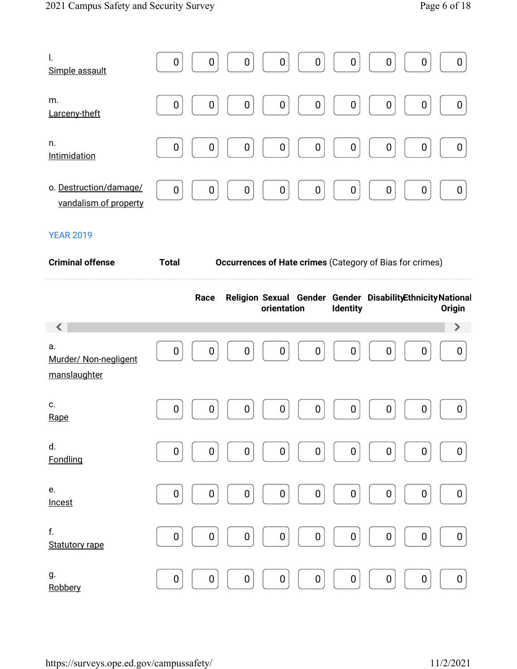| l.<br>Simple assault                            | $\boldsymbol{0}$<br>$\boldsymbol{0}$<br>$\boldsymbol{0}$<br>$\mathbf 0$<br>0<br>0<br>0<br>0<br>$\mathbf 0$ |
|-------------------------------------------------|------------------------------------------------------------------------------------------------------------|
| m.<br>Larceny-theft                             | $\boldsymbol{0}$<br>$\boldsymbol{0}$<br>$\boldsymbol{0}$<br>0<br>0<br>0<br>0<br>0<br>0                     |
| n.<br>Intimidation                              | $\boldsymbol{0}$<br>$\boldsymbol{0}$<br>0<br>$\boldsymbol{0}$<br>0<br>$\mathbf 0$<br>0<br>0<br>0           |
| o. Destruction/damage/<br>vandalism of property | $\boldsymbol{0}$<br>$\mathbf 0$<br>$\boldsymbol{0}$<br>0<br>0<br>0<br>$\mathbf 0$<br>$\boldsymbol{0}$      |

| <b>Criminal offense</b>                     |                  | Occurrences of Hate crimes (Category of Bias for crimes) |   |             |                  |                  |                                                            |                  |                       |
|---------------------------------------------|------------------|----------------------------------------------------------|---|-------------|------------------|------------------|------------------------------------------------------------|------------------|-----------------------|
|                                             |                  | Race                                                     |   | orientation |                  | <b>Identity</b>  | Religion Sexual Gender Gender DisabilityEthnicity National |                  | Origin                |
| ✓                                           |                  |                                                          |   |             |                  |                  |                                                            |                  | $\blacktriangleright$ |
| a.<br>Murder/ Non-negligent<br>manslaughter | 0                | 0                                                        | 0 | 0           | $\boldsymbol{0}$ | $\boldsymbol{0}$ | $\mathbf 0$                                                | 0                | 0                     |
| c.<br>Rape                                  | $\boldsymbol{0}$ | 0                                                        | 0 | 0           | $\boldsymbol{0}$ | $\pmb{0}$        | 0                                                          | $\boldsymbol{0}$ | 0                     |
| d.<br>Fondling                              | 0                | $\pmb{0}$                                                | 0 | 0           | $\boldsymbol{0}$ | $\pmb{0}$        | 0                                                          | $\boldsymbol{0}$ | 0                     |
| e.<br>Incest                                | $\mathbf 0$      | 0                                                        | 0 | $\mathbf 0$ | $\boldsymbol{0}$ | $\mathbf 0$      | 0                                                          | $\boldsymbol{0}$ | $\mathbf 0$           |
| f.<br><b>Statutory rape</b>                 | $\mathbf 0$      | 0                                                        | 0 | $\mathbf 0$ | $\boldsymbol{0}$ | $\pmb{0}$        | $\boldsymbol{0}$                                           | $\boldsymbol{0}$ | $\mathbf 0$           |
| g.<br>Robbery                               | $\boldsymbol{0}$ | 0                                                        | 0 | $\mathbf 0$ | $\boldsymbol{0}$ | 0                | $\mathbf 0$                                                | $\boldsymbol{0}$ | $\mathbf 0$           |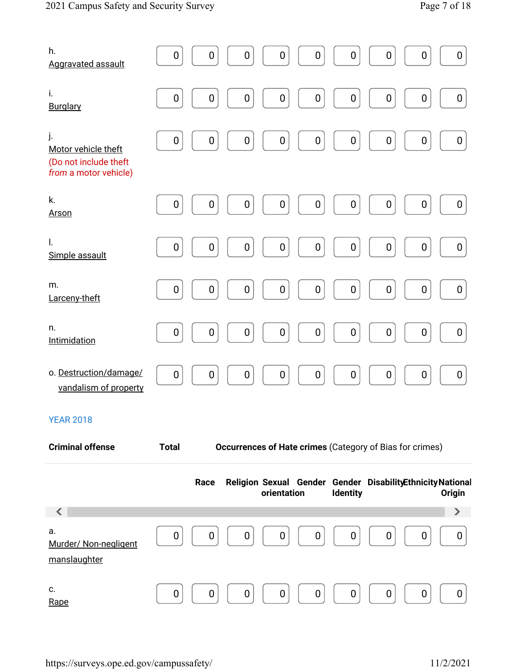| h.<br><b>Aggravated assault</b>                                             | $\boldsymbol{0}$ | 0<br>$\boldsymbol{0}$         | $\bf{0}$                                                                  | $\boldsymbol{0}$ | $\pmb{0}$       | $\boldsymbol{0}$ | 0                | 0                     |
|-----------------------------------------------------------------------------|------------------|-------------------------------|---------------------------------------------------------------------------|------------------|-----------------|------------------|------------------|-----------------------|
| i.<br><b>Burglary</b>                                                       | $\boldsymbol{0}$ | 0<br>0                        | $\boldsymbol{0}$                                                          | $\boldsymbol{0}$ | 0               | $\boldsymbol{0}$ | $\boldsymbol{0}$ | $\boldsymbol{0}$      |
| j.<br>Motor vehicle theft<br>(Do not include theft<br>from a motor vehicle) | $\boldsymbol{0}$ | $\pmb{0}$<br>0                | $\pmb{0}$                                                                 | $\pmb{0}$        | $\pmb{0}$       | $\pmb{0}$        | $\pmb{0}$        | $\pmb{0}$             |
| k.<br><b>Arson</b>                                                          | $\boldsymbol{0}$ | 0<br>0                        | $\boldsymbol{0}$                                                          | $\pmb{0}$        | $\pmb{0}$       | $\boldsymbol{0}$ | $\boldsymbol{0}$ | $\boldsymbol{0}$      |
| I.<br>Simple assault                                                        | $\boldsymbol{0}$ | $\pmb{0}$<br>0                | $\pmb{0}$                                                                 | $\pmb{0}$        | $\pmb{0}$       | $\pmb{0}$        | $\boldsymbol{0}$ | 0                     |
| m.<br>Larceny-theft                                                         | $\boldsymbol{0}$ | $\pmb{0}$<br>$\boldsymbol{0}$ | $\mathbf 0$                                                               | $\pmb{0}$        | $\pmb{0}$       | $\pmb{0}$        | $\pmb{0}$        | $\boldsymbol{0}$      |
| n.<br>Intimidation                                                          | $\boldsymbol{0}$ | $\pmb{0}$<br>$\pmb{0}$        | $\pmb{0}$                                                                 | $\pmb{0}$        | $\pmb{0}$       | $\pmb{0}$        | $\pmb{0}$        | $\boldsymbol{0}$      |
| o. Destruction/damage/<br>vandalism of property                             | $\mathbf 0$      | 0<br>$\boldsymbol{0}$         | $\mathbf 0$                                                               | $\pmb{0}$        | $\pmb{0}$       | $\boldsymbol{0}$ | $\boldsymbol{0}$ | $\boldsymbol{0}$      |
| <b>YEAR 2018</b>                                                            |                  |                               |                                                                           |                  |                 |                  |                  |                       |
| <b>Criminal offense</b>                                                     | <b>Total</b>     |                               | <b>Occurrences of Hate crimes (Category of Bias for crimes)</b>           |                  |                 |                  |                  |                       |
|                                                                             | Race             |                               | Religion Sexual Gender Gender DisabilityEthnicity National<br>orientation |                  | <b>Identity</b> |                  |                  | <b>Origin</b>         |
| a.                                                                          |                  |                               |                                                                           |                  |                 |                  |                  | $\blacktriangleright$ |
| Murder/ Non-negligent<br>manslaughter                                       | $\mathbf 0$      | 0<br>0                        | 0                                                                         | 0                | 0               | $\mathbf 0$      | 0                | 0                     |
| c.<br>Rape                                                                  | 0                | 0<br>0                        | 0                                                                         | 0                | 0               | 0                | 0                | 0                     |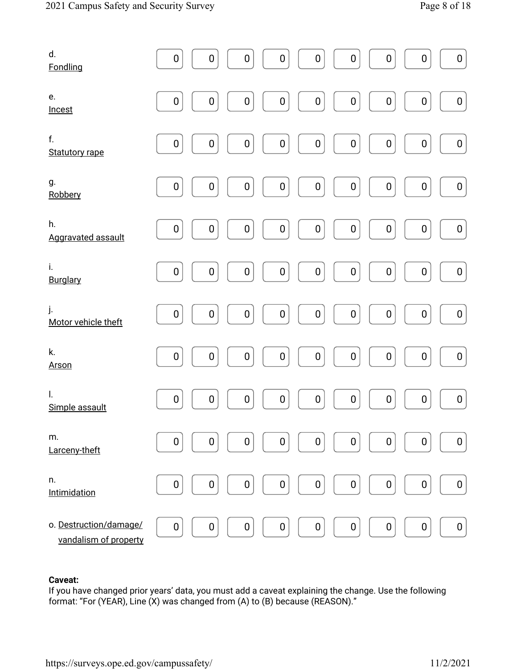| d.<br>Fondling                                  | $\pmb{0}$        | $\boldsymbol{0}$ | 0                | $\pmb{0}$        | $\pmb{0}$        | $\pmb{0}$        | $\pmb{0}$        | $\pmb{0}$        | $\pmb{0}$        |
|-------------------------------------------------|------------------|------------------|------------------|------------------|------------------|------------------|------------------|------------------|------------------|
| e.<br>Incest                                    | $\pmb{0}$        | $\boldsymbol{0}$ | 0                | 0                | $\pmb{0}$        | $\pmb{0}$        | $\pmb{0}$        | $\pmb{0}$        | $\pmb{0}$        |
| f.<br><b>Statutory rape</b>                     | $\boldsymbol{0}$ | $\boldsymbol{0}$ | $\pmb{0}$        | $\boldsymbol{0}$ | $\boldsymbol{0}$ | $\boldsymbol{0}$ | $\boldsymbol{0}$ | $\pmb{0}$        | $\pmb{0}$        |
| g.<br>Robbery                                   | $\pmb{0}$        | $\boldsymbol{0}$ | $\boldsymbol{0}$ | 0                | $\boldsymbol{0}$ | $\boldsymbol{0}$ | $\boldsymbol{0}$ | $\boldsymbol{0}$ | $\boldsymbol{0}$ |
| h.<br>Aggravated assault                        | $\pmb{0}$        | $\boldsymbol{0}$ | $\pmb{0}$        | 0                | $\boldsymbol{0}$ | $\pmb{0}$        | $\boldsymbol{0}$ | $\boldsymbol{0}$ | $\pmb{0}$        |
| i.<br>Burglary                                  | $\pmb{0}$        | $\boldsymbol{0}$ | $\boldsymbol{0}$ | $\boldsymbol{0}$ | $\boldsymbol{0}$ | $\boldsymbol{0}$ | $\pmb{0}$        | $\pmb{0}$        | $\pmb{0}$        |
| j.<br>Motor vehicle theft                       | $\pmb{0}$        | $\boldsymbol{0}$ | $\pmb{0}$        | 0                | $\pmb{0}$        | $\pmb{0}$        | $\pmb{0}$        | $\pmb{0}$        | $\pmb{0}$        |
| k.<br><b>Arson</b>                              | $\boldsymbol{0}$ | 0                | $\pmb{0}$        | $\boldsymbol{0}$ | $\boldsymbol{0}$ | $\boldsymbol{0}$ | $\pmb{0}$        | $\pmb{0}$        | $\pmb{0}$        |
| $\mathsf{L}$<br>Simple assault                  | $\boldsymbol{0}$ | $\boldsymbol{0}$ | 0                | 0                | $\boldsymbol{0}$ | $\pmb{0}$        | $\boldsymbol{0}$ | $\pmb{0}$        | $\boldsymbol{0}$ |
| m.<br>Larceny-theft                             | 0                | $\boldsymbol{0}$ | 0                | 0                | $\boldsymbol{0}$ | $\boldsymbol{0}$ | $\pmb{0}$        | 0                | 0                |
| n.<br>Intimidation                              | $\pmb{0}$        | $\pmb{0}$        | 0                | $\pmb{0}$        | $\pmb{0}$        | $\pmb{0}$        | $\pmb{0}$        | $\pmb{0}$        | 0                |
| o. Destruction/damage/<br>vandalism of property | $\pmb{0}$        | $\pmb{0}$        | 0                | 0                | $\boldsymbol{0}$ | $\pmb{0}$        | $\boldsymbol{0}$ | 0                | $\boldsymbol{0}$ |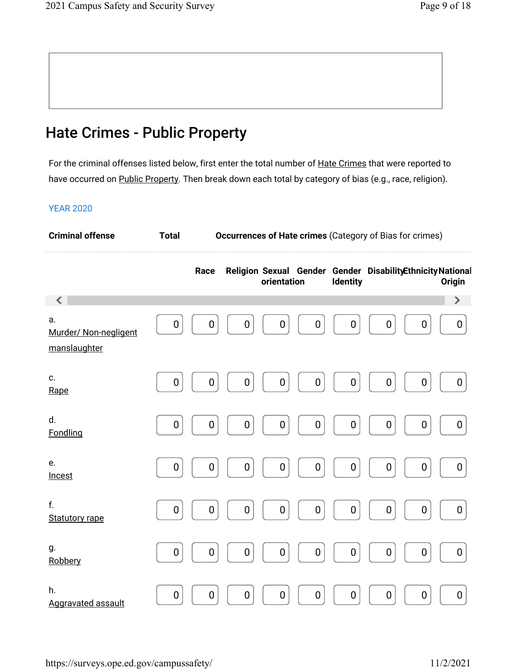## Hate Crimes - Public Property

For the criminal offenses listed below, first enter the total number of <u>Hate Crimes</u> that were reported to have occurred on <u>Public Property</u>. Then break down each total by category of bias (e.g., race, religion).

| <b>Criminal offense</b>                     | <b>Occurrences of Hate crimes (Category of Bias for crimes)</b><br><b>Total</b> |                  |           |             |   |                  |                                                            |                  |                       |
|---------------------------------------------|---------------------------------------------------------------------------------|------------------|-----------|-------------|---|------------------|------------------------------------------------------------|------------------|-----------------------|
|                                             |                                                                                 | Race             |           | orientation |   | <b>Identity</b>  | Religion Sexual Gender Gender DisabilityEthnicity National |                  | <b>Origin</b>         |
| $\langle$                                   |                                                                                 |                  |           |             |   |                  |                                                            |                  | $\blacktriangleright$ |
| a.<br>Murder/ Non-negligent<br>manslaughter | $\boldsymbol{0}$                                                                | $\boldsymbol{0}$ | 0         | 0           | 0 | 0                | $\boldsymbol{0}$                                           | $\boldsymbol{0}$ | 0                     |
| c.<br>Rape                                  | $\boldsymbol{0}$                                                                | $\boldsymbol{0}$ | 0         | 0           | 0 | 0                | $\boldsymbol{0}$                                           | $\boldsymbol{0}$ | $\boldsymbol{0}$      |
| d.<br>Fondling                              | $\boldsymbol{0}$                                                                | 0                | 0         | 0           | 0 | 0                | $\pmb{0}$                                                  | $\boldsymbol{0}$ | 0                     |
| e.<br>Incest                                | 0                                                                               | 0                | 0         | 0           | 0 | 0                | $\boldsymbol{0}$                                           | $\boldsymbol{0}$ | 0                     |
| f.<br><b>Statutory rape</b>                 | $\boldsymbol{0}$                                                                | $\boldsymbol{0}$ | 0         | 0           | 0 | $\boldsymbol{0}$ | $\boldsymbol{0}$                                           | $\pmb{0}$        | 0                     |
| g.<br>Robbery                               | $\pmb{0}$                                                                       | 0                | $\pmb{0}$ | 0           | 0 | $\boldsymbol{0}$ | $\pmb{0}$                                                  | $\boldsymbol{0}$ | $\boldsymbol{0}$      |
| h.<br><b>Aggravated assault</b>             | $\boldsymbol{0}$                                                                | $\boldsymbol{0}$ | 0         | 0           | 0 | $\boldsymbol{0}$ | $\boldsymbol{0}$                                           | $\boldsymbol{0}$ | $\boldsymbol{0}$      |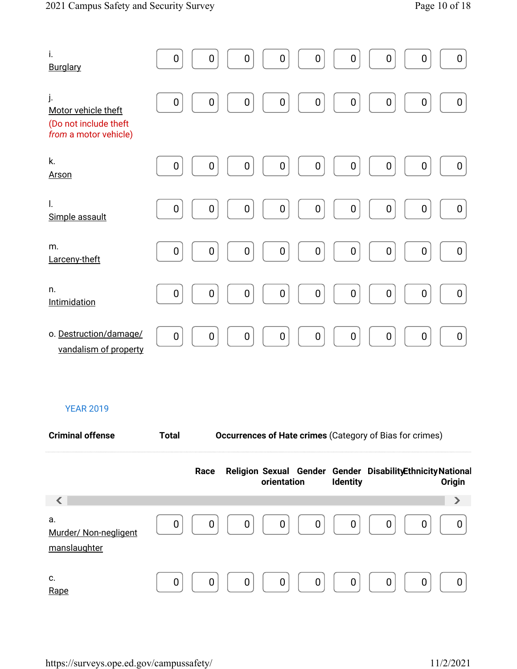| i.<br><b>Burglary</b>                                                       | $\mathbf 0$<br>$\mathbf 0$<br>0<br>0<br>$\boldsymbol{0}$<br>$\mathbf 0$<br>$\mathbf 0$<br>0<br>0                                                 |
|-----------------------------------------------------------------------------|--------------------------------------------------------------------------------------------------------------------------------------------------|
| j.<br>Motor vehicle theft<br>(Do not include theft<br>from a motor vehicle) | $\pmb{0}$<br>$\mathbf 0$<br>$\mathbf 0$<br>$\mathbf 0$<br>$\mathbf 0$<br>0<br>0<br>0<br>0                                                        |
| k.<br><b>Arson</b>                                                          | $\boldsymbol{0}$<br>0<br>0<br>0<br>0<br>$\boldsymbol{0}$<br>$\mathbf 0$<br>0<br>0                                                                |
| $\mathsf{I}$ .<br>Simple assault                                            | $\pmb{0}$<br>$\mathbf 0$<br>0<br>0<br>0<br>0<br>$\boldsymbol{0}$<br>0<br>0                                                                       |
| m.<br>Larceny-theft                                                         | $\pmb{0}$<br>0<br>$\boldsymbol{0}$<br>$\boldsymbol{0}$<br>0<br>0<br>0<br>0<br>$\boldsymbol{0}$                                                   |
| n.<br>Intimidation                                                          | $\boldsymbol{0}$<br>$\pmb{0}$<br>$\mathbf 0$<br>$\mathbf 0$<br>$\boldsymbol{0}$<br>0<br>$\boldsymbol{0}$<br>$\boldsymbol{0}$<br>$\boldsymbol{0}$ |
| o. Destruction/damage/<br>vandalism of property                             | $\mathbf 0$<br>$\mathbf 0$<br>$\boldsymbol{0}$<br>$\boldsymbol{0}$<br>0<br>$\boldsymbol{0}$<br>0<br>0<br>$\boldsymbol{0}$                        |

| <b>Criminal offense</b>                     | <b>Total</b> | <b>Occurrences of Hate crimes (Category of Bias for crimes)</b> |                                                                            |                 |   |               |  |  |
|---------------------------------------------|--------------|-----------------------------------------------------------------|----------------------------------------------------------------------------|-----------------|---|---------------|--|--|
|                                             |              | Race                                                            | Religion Sexual Gender Gender Disability Ethnicity National<br>orientation | <b>Identity</b> |   | <b>Origin</b> |  |  |
|                                             |              |                                                                 |                                                                            |                 |   | ⋗             |  |  |
| a.<br>Murder/ Non-negligent<br>manslaughter | 0            | U                                                               | 0<br>0                                                                     | 0<br>0          | 0 |               |  |  |
| c.<br>Rape                                  | n            |                                                                 | 0                                                                          | n<br>0          |   |               |  |  |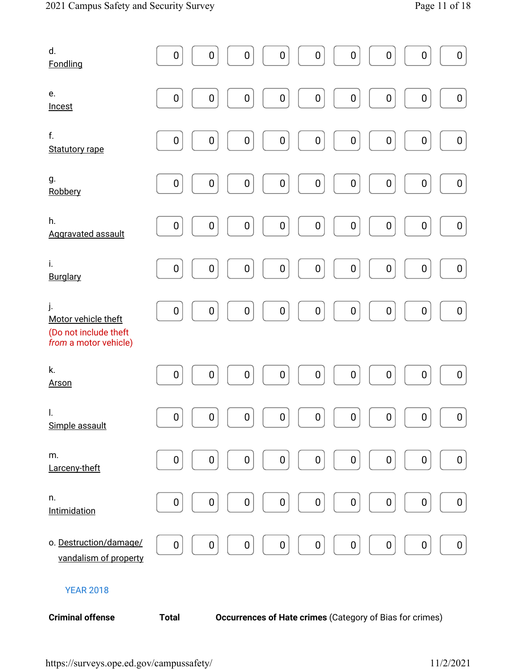| d.<br>Fondling                                                              | $\boldsymbol{0}$ | 0                | 0                | $\pmb{0}$        | $\pmb{0}$        | $\boldsymbol{0}$ | $\boldsymbol{0}$ | $\boldsymbol{0}$                                         | $\pmb{0}$        |
|-----------------------------------------------------------------------------|------------------|------------------|------------------|------------------|------------------|------------------|------------------|----------------------------------------------------------|------------------|
| e.<br>Incest                                                                | $\pmb{0}$        | $\pmb{0}$        | 0                | $\pmb{0}$        | $\pmb{0}$        | $\pmb{0}$        | $\boldsymbol{0}$ | $\pmb{0}$                                                | $\pmb{0}$        |
| f.<br><b>Statutory rape</b>                                                 | $\boldsymbol{0}$ | $\mathbf 0$      | $\boldsymbol{0}$ | $\boldsymbol{0}$ | $\pmb{0}$        | $\mathbf 0$      | $\boldsymbol{0}$ | $\boldsymbol{0}$                                         | $\pmb{0}$        |
| g.<br>Robbery                                                               | $\boldsymbol{0}$ | $\boldsymbol{0}$ | $\pmb{0}$        | $\pmb{0}$        | $\pmb{0}$        | $\boldsymbol{0}$ | $\boldsymbol{0}$ | $\boldsymbol{0}$                                         | $\boldsymbol{0}$ |
| h.<br>Aggravated assault                                                    | $\boldsymbol{0}$ | $\boldsymbol{0}$ | $\pmb{0}$        | 0                | $\boldsymbol{0}$ | $\boldsymbol{0}$ | $\boldsymbol{0}$ | $\boldsymbol{0}$                                         | 0                |
| i.<br>Burglary                                                              | $\boldsymbol{0}$ | 0                | $\boldsymbol{0}$ | $\boldsymbol{0}$ | $\pmb{0}$        | $\pmb{0}$        | $\boldsymbol{0}$ | $\boldsymbol{0}$                                         | $\pmb{0}$        |
| j.<br>Motor vehicle theft<br>(Do not include theft<br>from a motor vehicle) | $\pmb{0}$        | $\mathbf 0$      | $\pmb{0}$        | $\pmb{0}$        | $\pmb{0}$        | $\mathbf 0$      | $\pmb{0}$        | $\pmb{0}$                                                | $\pmb{0}$        |
| k.<br><b>Arson</b>                                                          | $\boldsymbol{0}$ | 0                | 0                | $\boldsymbol{0}$ | $\boldsymbol{0}$ | $\boldsymbol{0}$ | $\boldsymbol{0}$ | $\boldsymbol{0}$                                         | $\boldsymbol{0}$ |
| $\mathsf{I}$ .<br>Simple assault                                            | $\boldsymbol{0}$ | $\pmb{0}$        | $\pmb{0}$        | $\pmb{0}$        | $\mathbf 0$      | $\boldsymbol{0}$ | $\mathbf 0$      | $\mathbf 0$                                              | $\pmb{0}$        |
| m.<br>Larceny-theft                                                         | 0                | 0                | 0                | 0                | $\boldsymbol{0}$ | $\boldsymbol{0}$ | 0                | $\boldsymbol{0}$                                         | 0                |
| n.<br>Intimidation                                                          | 0                | 0                | 0                | 0                | $\pmb{0}$        | $\pmb{0}$        | $\boldsymbol{0}$ | $\boldsymbol{0}$                                         | 0                |
| o. Destruction/damage/<br>vandalism of property                             | $\pmb{0}$        | 0                | 0                | 0                | $\pmb{0}$        | $\pmb{0}$        | $\boldsymbol{0}$ | $\pmb{0}$                                                | 0                |
| <b>YEAR 2018</b>                                                            |                  |                  |                  |                  |                  |                  |                  |                                                          |                  |
| <b>Criminal offense</b>                                                     | <b>Total</b>     |                  |                  |                  |                  |                  |                  | Occurrences of Hate crimes (Category of Bias for crimes) |                  |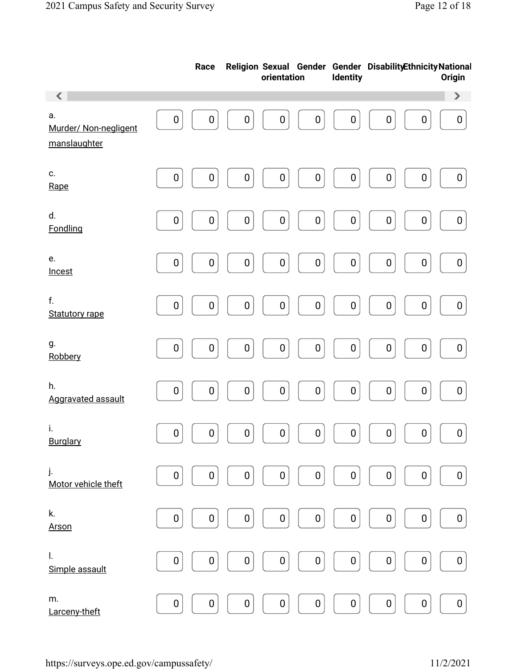|                                             |                  | Race             |                  | orientation      |                  | Identity         | Religion Sexual Gender Gender DisabilityEthnicity National |                  | Origin                |
|---------------------------------------------|------------------|------------------|------------------|------------------|------------------|------------------|------------------------------------------------------------|------------------|-----------------------|
| $\left\langle \right\rangle$                |                  |                  |                  |                  |                  |                  |                                                            |                  | $\blacktriangleright$ |
| а.<br>Murder/ Non-negligent<br>manslaughter | $\boldsymbol{0}$ | $\boldsymbol{0}$ | $\boldsymbol{0}$ | $\boldsymbol{0}$ | $\boldsymbol{0}$ | $\boldsymbol{0}$ | $\boldsymbol{0}$                                           | $\boldsymbol{0}$ | $\boldsymbol{0}$      |
|                                             |                  |                  |                  |                  |                  |                  |                                                            |                  |                       |
| c.<br>Rape                                  | 0                | $\boldsymbol{0}$ | $\boldsymbol{0}$ | 0                | 0                | $\pmb{0}$        | $\pmb{0}$                                                  | $\pmb{0}$        | 0                     |
| d.<br>Fondling                              | $\boldsymbol{0}$ | $\boldsymbol{0}$ | $\boldsymbol{0}$ | 0                | 0                | 0                | $\pmb{0}$                                                  | $\pmb{0}$        | $\boldsymbol{0}$      |
| e.<br>Incest                                | $\boldsymbol{0}$ | $\boldsymbol{0}$ | $\boldsymbol{0}$ | 0                | $\boldsymbol{0}$ | $\boldsymbol{0}$ | $\pmb{0}$                                                  | $\pmb{0}$        | $\boldsymbol{0}$      |
| f.<br><b>Statutory rape</b>                 | $\pmb{0}$        | $\pmb{0}$        | $\pmb{0}$        | $\pmb{0}$        | 0                | $\pmb{0}$        | $\pmb{0}$                                                  | $\pmb{0}$        | $\pmb{0}$             |
| g.<br>Robbery                               | $\boldsymbol{0}$ | $\mathbf 0$      | $\boldsymbol{0}$ | $\pmb{0}$        | $\boldsymbol{0}$ | $\pmb{0}$        | $\pmb{0}$                                                  | $\pmb{0}$        | $\pmb{0}$             |
| h.<br>Aggravated assault                    | $\boldsymbol{0}$ | $\pmb{0}$        | $\boldsymbol{0}$ | $\pmb{0}$        | $\boldsymbol{0}$ | $\pmb{0}$        | $\pmb{0}$                                                  | $\pmb{0}$        | $\boldsymbol{0}$      |
| İ.<br>Burglary                              | $\pmb{0}$        | $\pmb{0}$        | $\pmb{0}$        | $\pmb{0}$        | 0                | $\pmb{0}$        | $\pmb{0}$                                                  | $\pmb{0}$        | $\pmb{0}$             |
| j.<br>Motor vehicle theft                   | $\pmb{0}$        | $\pmb{0}$        | $\pmb{0}$        | 0                | 0                | 0                | $\pmb{0}$                                                  | $\boldsymbol{0}$ | $\boldsymbol{0}$      |
| k.<br><b>Arson</b>                          | $\pmb{0}$        | 0                | $\boldsymbol{0}$ | 0                | 0                | 0                | $\pmb{0}$                                                  | $\boldsymbol{0}$ | $\boldsymbol{0}$      |
| l.<br>Simple assault                        | $\boldsymbol{0}$ | $\mathbf 0$      | $\boldsymbol{0}$ | 0                | 0                | 0                | 0                                                          | $\boldsymbol{0}$ | 0                     |
| m.<br>Larceny-theft                         | 0                | 0                | $\boldsymbol{0}$ | 0                | 0                | 0                | $\boldsymbol{0}$                                           | $\boldsymbol{0}$ | 0                     |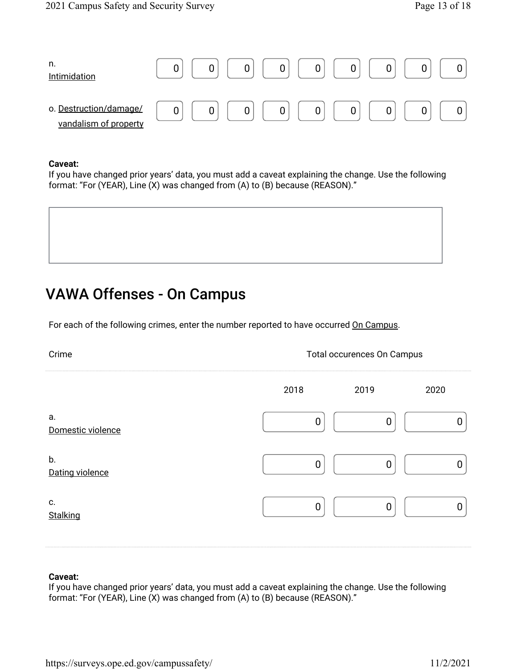| n.<br>Intimidation                              |   |  |
|-------------------------------------------------|---|--|
| o. Destruction/damage/<br>vandalism of property | ັ |  |

If you have changed prior years' data, you must add a caveat explaining the change. Use the following format: "For (YEAR), Line (X) was changed from (A) to (B) because (REASON)."

## VAWA Offenses - On Campus

For each of the following crimes, enter the number reported to have occurred On Campus.

| Crime                   | <b>Total occurences On Campus</b> |      |      |  |
|-------------------------|-----------------------------------|------|------|--|
|                         | 2018                              | 2019 | 2020 |  |
| а.<br>Domestic violence |                                   |      |      |  |
| b.<br>Dating violence   |                                   |      |      |  |
| c.<br>Stalking          |                                   |      |      |  |

#### **Caveat:**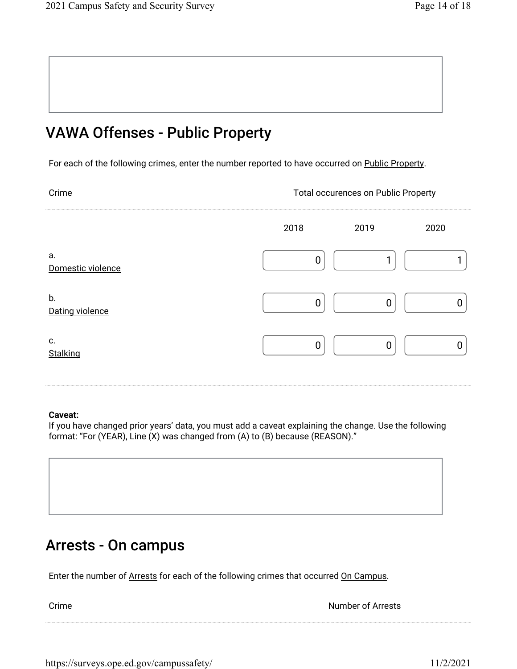## VAWA Offenses - Public Property

For each of the following crimes, enter the number reported to have occurred on Public Property.

Crime Crime Crime Crime Crime Crime Crime Crime Crime Crime Crime Crime Crime Crime Crime Crime Crime Crime Crime Crime Crime Crime Crime Crime Crime Crime Crime Crime Crime Crime Crime Crime Crime Crime Crime Crime Crime

|                         | 2018 |   | 2019           | 2020 |
|-------------------------|------|---|----------------|------|
| a.<br>Domestic violence |      | 0 | ◢              |      |
| b.<br>Dating violence   |      | 0 | $\mathbf 0$    | ი    |
| c.<br>Stalking          |      | 0 | $\overline{0}$ |      |

#### **Caveat:**

If you have changed prior years' data, you must add a caveat explaining the change. Use the following format: "For (YEAR), Line (X) was changed from (A) to (B) because (REASON)."

## Arrests - On campus

Enter the number of Arrests for each of the following crimes that occurred On Campus.

**Crime Number of Arrests**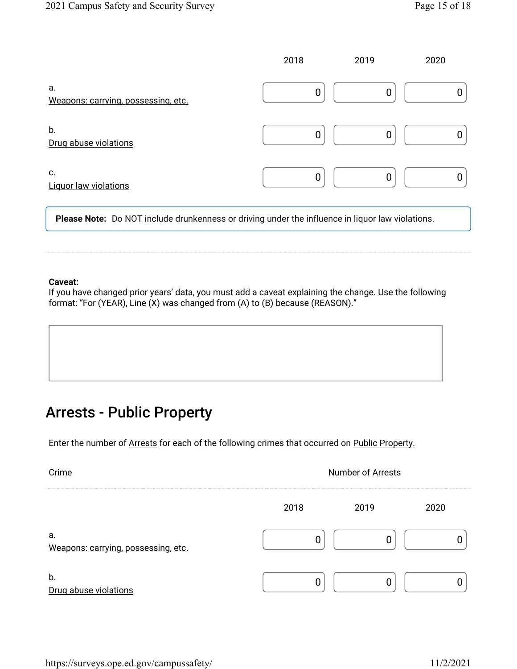|                                           | 2018 | 2019 | 2020 |
|-------------------------------------------|------|------|------|
| а.<br>Weapons: carrying, possessing, etc. | 0    | 0    |      |
| b.<br>Drug abuse violations               | 0    | 0    |      |
| C.<br><b>Liquor law violations</b>        | 0    | 0    |      |

**Please Note:** Do NOT include drunkenness or driving under the influence in liquor law violations.

#### **Caveat:**

If you have changed prior years' data, you must add a caveat explaining the change. Use the following format: "For (YEAR), Line (X) was changed from (A) to (B) because (REASON)."

## Arrests - Public Property

Enter the number of Arrests for each of the following crimes that occurred on Public Property.

| Crime                                     | <b>Number of Arrests</b> |      |  |  |
|-------------------------------------------|--------------------------|------|--|--|
|                                           | 2018                     | 2019 |  |  |
| а.<br>Weapons: carrying, possessing, etc. |                          |      |  |  |
| b.<br>Drug abuse violations               |                          |      |  |  |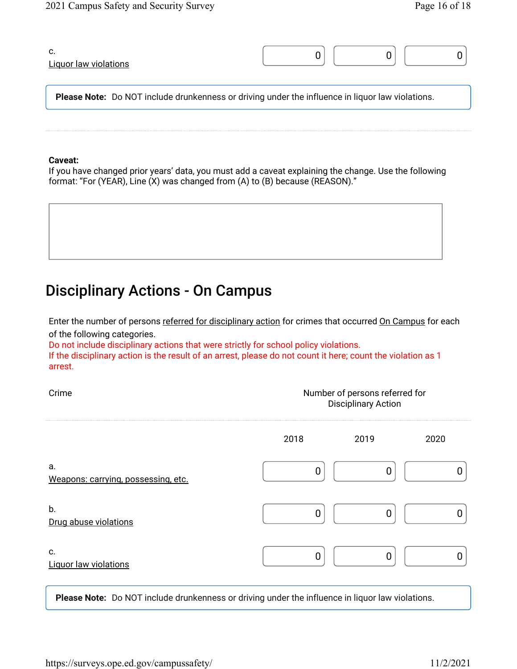| C.<br><b>Liquor law violations</b>                                                                      |  |  |  |
|---------------------------------------------------------------------------------------------------------|--|--|--|
| <b>Please Note:</b> Do NOT include drunkenness or driving under the influence in liquor law violations. |  |  |  |

If you have changed prior years' data, you must add a caveat explaining the change. Use the following format: "For (YEAR), Line (X) was changed from (A) to (B) because (REASON)."

# Disciplinary Actions - On Campus

Enter the number of persons <u>referred for disciplinary action</u> for crimes that occurred <u>On Campus</u> for each of the following categories.

Do not include disciplinary actions that were strictly for school policy violations.

If the disciplinary action is the result of an arrest, please do not count it here; count the violation as 1 arrest.

| Crime                                     | Number of persons referred for<br><b>Disciplinary Action</b> |      |      |  |
|-------------------------------------------|--------------------------------------------------------------|------|------|--|
|                                           | 2018                                                         | 2019 | 2020 |  |
| а.<br>Weapons: carrying, possessing, etc. |                                                              | 0    |      |  |
| b.<br>Drug abuse violations               |                                                              | Ŋ    |      |  |
| C.<br><b>Liquor law violations</b>        |                                                              | ŋ    |      |  |

**Please Note:** Do NOT include drunkenness or driving under the influence in liquor law violations.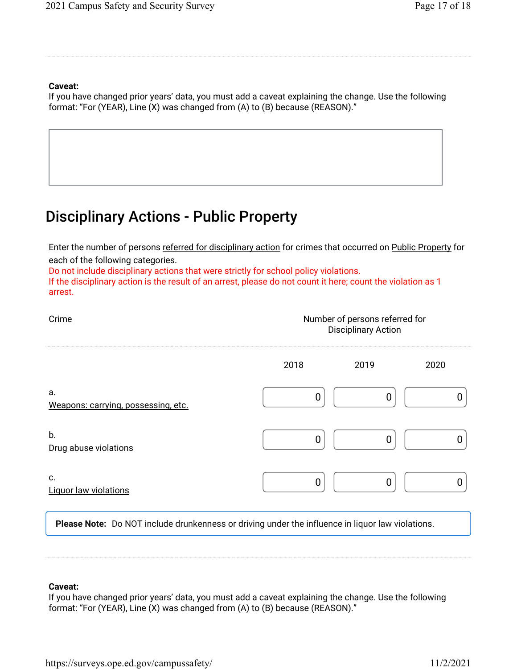If you have changed prior years' data, you must add a caveat explaining the change. Use the following format: "For (YEAR), Line (X) was changed from (A) to (B) because (REASON)."

## Disciplinary Actions - Public Property

Enter the number of persons referred for disciplinary action for crimes that occurred on Public Property for each of the following categories.

Do not include disciplinary actions that were strictly for school policy violations.

If the disciplinary action is the result of an arrest, please do not count it here; count the violation as 1 arrest.

| Crime                                     | Number of persons referred for<br><b>Disciplinary Action</b> |      |      |  |
|-------------------------------------------|--------------------------------------------------------------|------|------|--|
|                                           | 2018                                                         | 2019 | 2020 |  |
| a.<br>Weapons: carrying, possessing, etc. |                                                              |      |      |  |
| b.<br>Drug abuse violations               |                                                              |      |      |  |
| c.<br><b>Liquor law violations</b>        |                                                              |      |      |  |

**Please Note:** Do NOT include drunkenness or driving under the influence in liquor law violations.

#### **Caveat:**